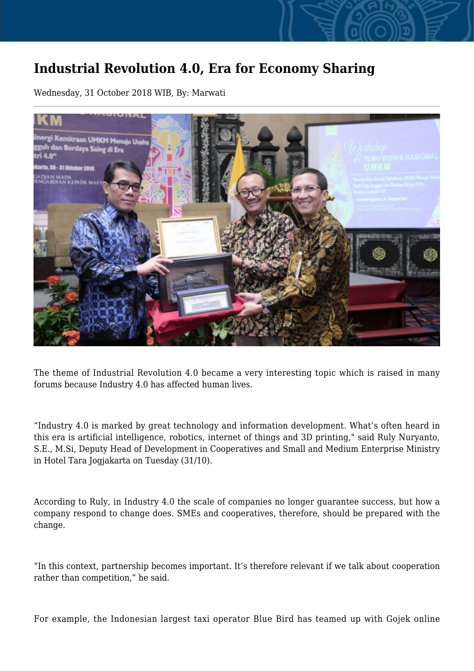## **Industrial Revolution 4.0, Era for Economy Sharing**

Wednesday, 31 October 2018 WIB, By: Marwati



The theme of Industrial Revolution 4.0 became a very interesting topic which is raised in many forums because Industry 4.0 has affected human lives.

"Industry 4.0 is marked by great technology and information development. What's often heard in this era is artificial intelligence, robotics, internet of things and 3D printing," said Ruly Nuryanto, S.E., M.Si, Deputy Head of Development in Cooperatives and Small and Medium Enterprise Ministry in Hotel Tara Jogjakarta on Tuesday (31/10).

According to Ruly, in Industry 4.0 the scale of companies no longer guarantee success, but how a company respond to change does. SMEs and cooperatives, therefore, should be prepared with the change.

"In this context, partnership becomes important. It's therefore relevant if we talk about cooperation rather than competition," he said.

For example, the Indonesian largest taxi operator Blue Bird has teamed up with Gojek online